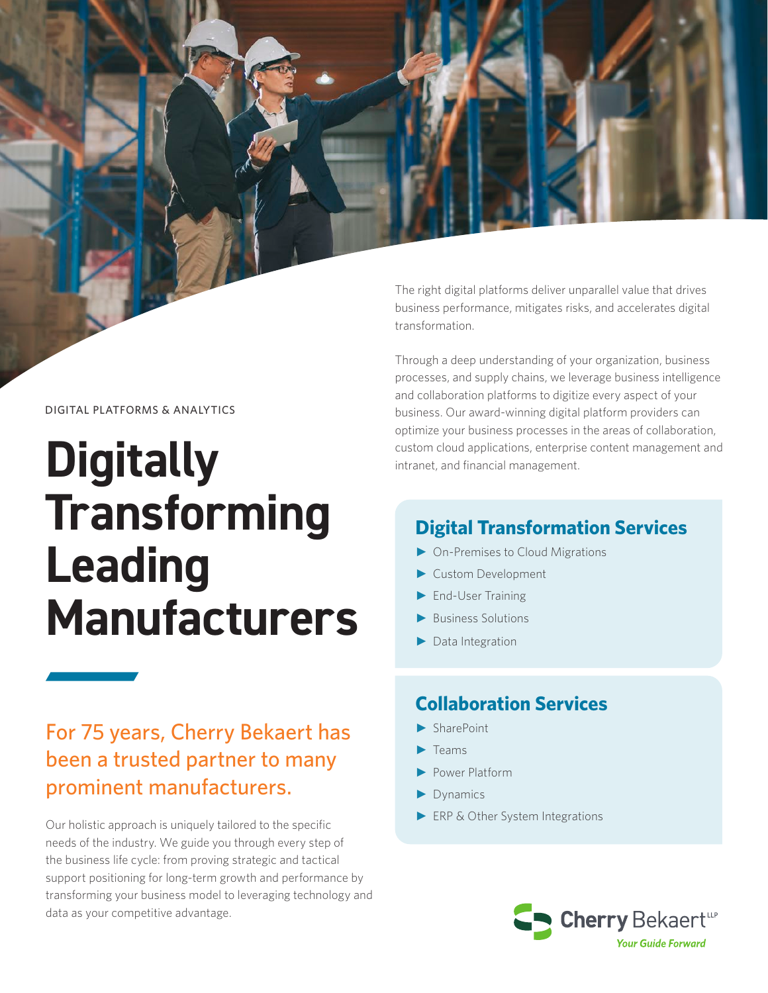The right digital platforms deliver unparallel value that drives business performance, mitigates risks, and accelerates digital transformation.

Through a deep understanding of your organization, business processes, and supply chains, we leverage business intelligence and collaboration platforms to digitize every aspect of your business. Our award-winning digital platform providers can optimize your business processes in the areas of collaboration, custom cloud applications, enterprise content management and intranet, and financial management.

# **Digital Transformation Services**

- ► On-Premises to Cloud Migrations
- ► Custom Development
- End-User Training
- ► Business Solutions
- ► Data Integration

# **Collaboration Services**

- ► SharePoint
- $\blacktriangleright$  Teams
- ► Power Platform
- ► Dynamics
- ► ERP & Other System Integrations



### DIGITAL PLATFORMS & ANALYTICS

# **Digitally Transforming Leading Manufacturers**

# For 75 years, Cherry Bekaert has been a trusted partner to many prominent manufacturers.

Our holistic approach is uniquely tailored to the specific needs of the industry. We guide you through every step of the business life cycle: from proving strategic and tactical support positioning for long-term growth and performance by transforming your business model to leveraging technology and data as your competitive advantage.